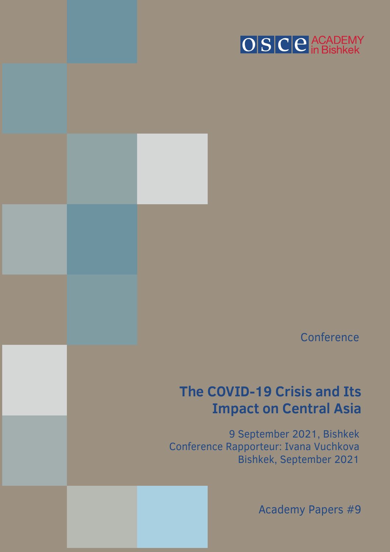

**Conference** 

# **The COVID-19 Crisis and Its Impact on Central Asia**

9 September 2021, Bishkek Conference Rapporteur: Ivana Vuchkova Bishkek, September 2021

© 2020 OSCE Academy in Bishkek. All rights reserved. 1

Academy Papers #9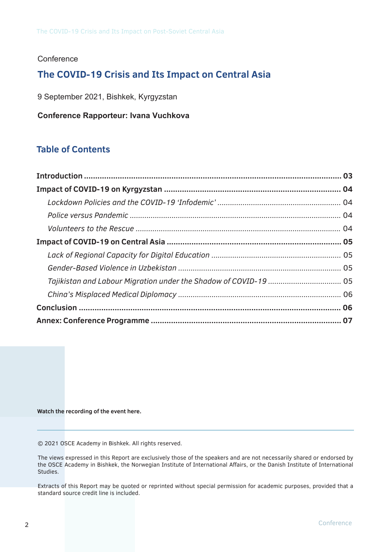### **Conference**

## **The COVID-19 Crisis and Its Impact on Central Asia**

9 September 2021, Bishkek, Kyrgyzstan

**Conference Rapporteur: Ivana Vuchkova**

## **Table of Contents**

**Watch the recording of the event here.**

© 2021 OSCE Academy in Bishkek. All rights reserved.

The views expressed in this Report are exclusively those of the speakers and are not necessarily shared or endorsed by the OSCE Academy in Bishkek, the Norwegian Institute of International Affairs, or the Danish Institute of International Studies.

Extracts of this Report may be quoted or reprinted without special permission for academic purposes, provided that a standard source credit line is included.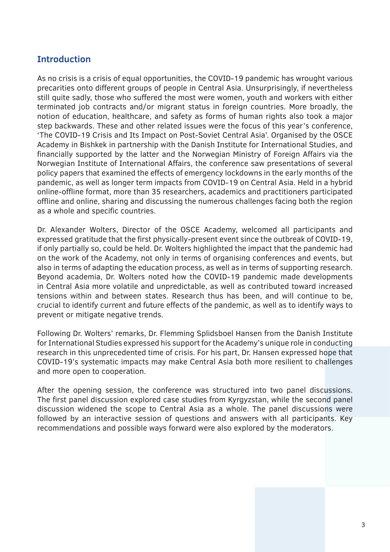## **Introduction**

As no crisis is a crisis of equal opportunities, the COVID-19 pandemic has wrought various precarities onto different groups of people in Central Asia. Unsurprisingly, if nevertheless still quite sadly, those who suffered the most were women, youth and workers with either terminated job contracts and/or migrant status in foreign countries. More broadly, the notion of education, healthcare, and safety as forms of human rights also took a major step backwards. These and other related issues were the focus of this year's conference, 'The COVID-19 Crisis and Its Impact on Post-Soviet Central Asia'. Organised by the OSCE Academy in Bishkek in partnership with the Danish Institute for International Studies, and financially supported by the latter and the Norwegian Ministry of Foreign Affairs via the Norwegian Institute of International Affairs, the conference saw presentations of several policy papers that examined the effects of emergency lockdowns in the early months of the pandemic, as well as longer term impacts from COVID-19 on Central Asia. Held in a hybrid online-offline format, more than 35 researchers, academics and practitioners participated offline and online, sharing and discussing the numerous challenges facing both the region as a whole and specific countries.

Dr. Alexander Wolters, Director of the OSCE Academy, welcomed all participants and expressed gratitude that the first physically-present event since the outbreak of COVID-19, if only partially so, could be held. Dr. Wolters highlighted the impact that the pandemic had on the work of the Academy, not only in terms of organising conferences and events, but also in terms of adapting the education process, as well as in terms of supporting research. Beyond academia, Dr. Wolters noted how the COVID-19 pandemic made developments in Central Asia more volatile and unpredictable, as well as contributed toward increased tensions within and between states. Research thus has been, and will continue to be, crucial to identify current and future effects of the pandemic, as well as to identify ways to prevent or mitigate negative trends.

Following Dr. Wolters' remarks, Dr. Flemming Splidsboel Hansen from the Danish Institute for International Studies expressed his support for the Academy's unique role in conducting research in this unprecedented time of crisis. For his part, Dr. Hansen expressed hope that COVID-19's systematic impacts may make Central Asia both more resilient to challenges and more open to cooperation.

After the opening session, the conference was structured into two panel discussions. The first panel discussion explored case studies from Kyrgyzstan, while the second panel discussion widened the scope to Central Asia as a whole. The panel discussions were followed by an interactive session of questions and answers with all participants. Key recommendations and possible ways forward were also explored by the moderators.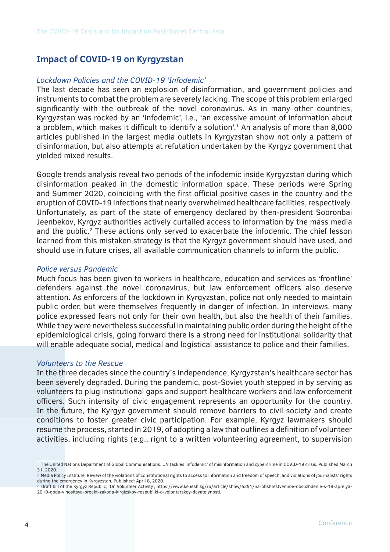## **Impact of COVID-19 on Kyrgyzstan**

#### *Lockdown Policies and the COVID-19 'Infodemic'*

The last decade has seen an explosion of disinformation, and government policies and instruments to combat the problem are severely lacking. The scope of this problem enlarged significantly with the outbreak of the novel coronavirus. As in many other countries, Kyrgyzstan was rocked by an 'infodemic', i.e., 'an excessive amount of information about a problem, which makes it difficult to identify a solution'.<sup>1</sup> An analysis of more than 8,000 articles published in the largest media outlets in Kyrgyzstan show not only a pattern of disinformation, but also attempts at refutation undertaken by the Kyrgyz government that yielded mixed results.

Google trends analysis reveal two periods of the infodemic inside Kyrgyzstan during which disinformation peaked in the domestic information space. These periods were Spring and Summer 2020, coinciding with the first official positive cases in the country and the eruption of COVID-19 infections that nearly overwhelmed healthcare facilities, respectively. Unfortunately, as part of the state of emergency declared by then-president Sooronbai Jeenbekov, Kyrgyz authorities actively curtailed access to information by the mass media and the public.<sup>2</sup> These actions only served to exacerbate the infodemic. The chief lesson learned from this mistaken strategy is that the Kyrgyz government should have used, and should use in future crises, all available communication channels to inform the public.

#### *Police versus Pandemic*

Much focus has been given to workers in healthcare, education and services as 'frontline' defenders against the novel coronavirus, but law enforcement officers also deserve attention. As enforcers of the lockdown in Kyrgyzstan, police not only needed to maintain public order, but were themselves frequently in danger of infection. In interviews, many police expressed fears not only for their own health, but also the health of their families. While they were nevertheless successful in maintaining public order during the height of the epidemiological crisis, going forward there is a strong need for institutional solidarity that will enable adequate social, medical and logistical assistance to police and their families.

#### *Volunteers to the Rescue*

In the three decades since the country's independence, Kyrgyzstan's healthcare sector has been severely degraded. During the pandemic, post-Soviet youth stepped in by serving as volunteers to plug institutional gaps and support healthcare workers and law enforcement officers. Such intensity of civic engagement represents an opportunity for the country. In the future, the Kyrgyz government should remove barriers to civil society and create conditions to foster greater civic participation. For example, Kyrgyz lawmakers should resume the process, started in 2019, of adopting a law that outlines a definition of volunteer activities, including rights (e.g., right to a written volunteering agreement, to supervision

<sup>&</sup>lt;sup>1</sup> The United Nations Department of Global Communications. UN tackles 'infodemic' of misinformation and cybercrime in COVID-19 crisis. Published March 31, 2020.

<sup>&</sup>lt;sup>2</sup> Media Policy Institute. Review of the violations of constitutional rights to access to information and freedom of speech, and violations of journalists' rights during the emergency in Kyrgyzstan. Published: April 8, 2020.

<sup>3</sup> Draft bill of the Kyrgyz Republic, 'On Volunteer Activity', https://www.kenesh.kg/ru/article/show/5251/na-obshtestvennoe-obsuzhdenie-s-19-aprelya-2019-goda-vinositsya-proekt-zakona-kirgizskoy-respubliki-o-volonterskoy-deyatelynosti.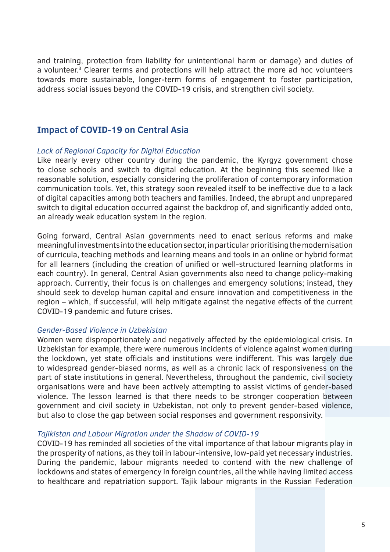and training, protection from liability for unintentional harm or damage) and duties of a volunteer.<sup>3</sup> Clearer terms and protections will help attract the more ad hoc volunteers towards more sustainable, longer-term forms of engagement to foster participation, address social issues beyond the COVID-19 crisis, and strengthen civil society.

## **Impact of COVID-19 on Central Asia**

#### *Lack of Regional Capacity for Digital Education*

Like nearly every other country during the pandemic, the Kyrgyz government chose to close schools and switch to digital education. At the beginning this seemed like a reasonable solution, especially considering the proliferation of contemporary information communication tools. Yet, this strategy soon revealed itself to be ineffective due to a lack of digital capacities among both teachers and families. Indeed, the abrupt and unprepared switch to digital education occurred against the backdrop of, and significantly added onto, an already weak education system in the region.

Going forward, Central Asian governments need to enact serious reforms and make meaningful investments into the education sector, in particular prioritising the modernisation of curricula, teaching methods and learning means and tools in an online or hybrid format for all learners (including the creation of unified or well-structured learning platforms in each country). In general, Central Asian governments also need to change policy-making approach. Currently, their focus is on challenges and emergency solutions; instead, they should seek to develop human capital and ensure innovation and competitiveness in the region – which, if successful, will help mitigate against the negative effects of the current COVID-19 pandemic and future crises.

#### *Gender-Based Violence in Uzbekistan*

Women were disproportionately and negatively affected by the epidemiological crisis. In Uzbekistan for example, there were numerous incidents of violence against women during the lockdown, yet state officials and institutions were indifferent. This was largely due to widespread gender-biased norms, as well as a chronic lack of responsiveness on the part of state institutions in general. Nevertheless, throughout the pandemic, civil society organisations were and have been actively attempting to assist victims of gender-based violence. The lesson learned is that there needs to be stronger cooperation between government and civil society in Uzbekistan, not only to prevent gender-based violence, but also to close the gap between social responses and government responsivity.

#### *Tajikistan and Labour Migration under the Shadow of COVID-19*

COVID-19 has reminded all societies of the vital importance of that labour migrants play in the prosperity of nations, as they toil in labour-intensive, low-paid yet necessary industries. During the pandemic, labour migrants needed to contend with the new challenge of lockdowns and states of emergency in foreign countries, all the while having limited access to healthcare and repatriation support. Tajik labour migrants in the Russian Federation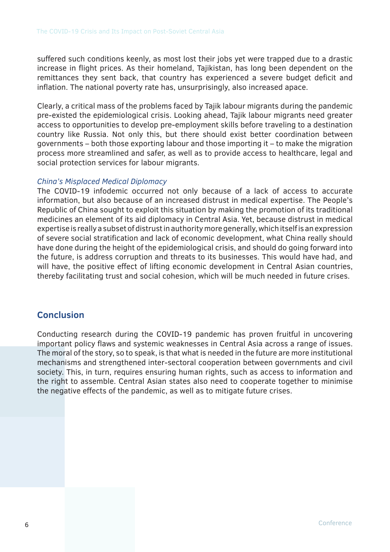suffered such conditions keenly, as most lost their jobs yet were trapped due to a drastic increase in flight prices. As their homeland, Tajikistan, has long been dependent on the remittances they sent back, that country has experienced a severe budget deficit and inflation. The national poverty rate has, unsurprisingly, also increased apace.

Clearly, a critical mass of the problems faced by Tajik labour migrants during the pandemic pre-existed the epidemiological crisis. Looking ahead, Tajik labour migrants need greater access to opportunities to develop pre-employment skills before traveling to a destination country like Russia. Not only this, but there should exist better coordination between governments – both those exporting labour and those importing it – to make the migration process more streamlined and safer, as well as to provide access to healthcare, legal and social protection services for labour migrants.

#### *China's Misplaced Medical Diplomacy*

The COVID-19 infodemic occurred not only because of a lack of access to accurate information, but also because of an increased distrust in medical expertise. The People's Republic of China sought to exploit this situation by making the promotion of its traditional medicines an element of its aid diplomacy in Central Asia. Yet, because distrust in medical expertise is really a subset of distrust in authority more generally, which itself is an expression of severe social stratification and lack of economic development, what China really should have done during the height of the epidemiological crisis, and should do going forward into the future, is address corruption and threats to its businesses. This would have had, and will have, the positive effect of lifting economic development in Central Asian countries, thereby facilitating trust and social cohesion, which will be much needed in future crises.

## **Conclusion**

Conducting research during the COVID-19 pandemic has proven fruitful in uncovering important policy flaws and systemic weaknesses in Central Asia across a range of issues. The moral of the story, so to speak, is that what is needed in the future are more institutional mechanisms and strengthened inter-sectoral cooperation between governments and civil society. This, in turn, requires ensuring human rights, such as access to information and the right to assemble. Central Asian states also need to cooperate together to minimise the negative effects of the pandemic, as well as to mitigate future crises.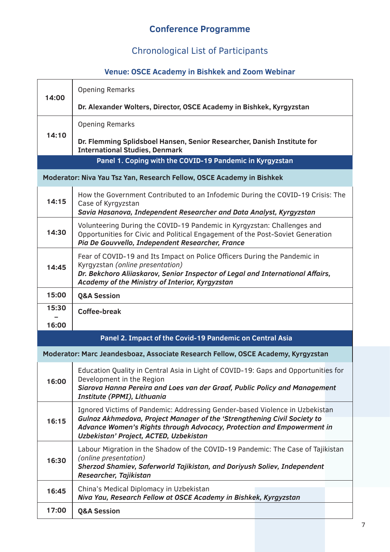## **Conference Programme**

# Chronological List of Participants

## **Venue: OSCE Academy in Bishkek and Zoom Webinar**

| 14:00                                                                            | <b>Opening Remarks</b>                                                                                                                                                                                                                                                      |  |
|----------------------------------------------------------------------------------|-----------------------------------------------------------------------------------------------------------------------------------------------------------------------------------------------------------------------------------------------------------------------------|--|
|                                                                                  | Dr. Alexander Wolters, Director, OSCE Academy in Bishkek, Kyrgyzstan                                                                                                                                                                                                        |  |
| 14:10                                                                            | <b>Opening Remarks</b>                                                                                                                                                                                                                                                      |  |
|                                                                                  | Dr. Flemming Splidsboel Hansen, Senior Researcher, Danish Institute for<br><b>International Studies, Denmark</b>                                                                                                                                                            |  |
| Panel 1. Coping with the COVID-19 Pandemic in Kyrgyzstan                         |                                                                                                                                                                                                                                                                             |  |
| Moderator: Niva Yau Tsz Yan, Research Fellow, OSCE Academy in Bishkek            |                                                                                                                                                                                                                                                                             |  |
| 14:15                                                                            | How the Government Contributed to an Infodemic During the COVID-19 Crisis: The<br>Case of Kyrgyzstan<br>Savia Hasanova, Independent Researcher and Data Analyst, Kyrgyzstan                                                                                                 |  |
| 14:30                                                                            | Volunteering During the COVID-19 Pandemic in Kyrgyzstan: Challenges and<br>Opportunities for Civic and Political Engagement of the Post-Soviet Generation<br>Pia De Gouvvello, Independent Researcher, France                                                               |  |
| 14:45                                                                            | Fear of COVID-19 and Its Impact on Police Officers During the Pandemic in<br>Kyrgyzstan (online presentation)<br>Dr. Bekchoro Aliiaskarov, Senior Inspector of Legal and International Affairs,<br>Academy of the Ministry of Interior, Kyrgyzstan                          |  |
| 15:00                                                                            | <b>Q&amp;A Session</b>                                                                                                                                                                                                                                                      |  |
| 15:30                                                                            | <b>Coffee-break</b>                                                                                                                                                                                                                                                         |  |
| 16:00                                                                            |                                                                                                                                                                                                                                                                             |  |
| Panel 2. Impact of the Covid-19 Pandemic on Central Asia                         |                                                                                                                                                                                                                                                                             |  |
| Moderator: Marc Jeandesboaz, Associate Research Fellow, OSCE Academy, Kyrgyzstan |                                                                                                                                                                                                                                                                             |  |
| 16:00                                                                            | Education Quality in Central Asia in Light of COVID-19: Gaps and Opportunities for<br>Development in the Region<br>Siarova Hanna Pereira and Loes van der Graaf, Public Policy and Management<br>Institute (PPMI), Lithuania                                                |  |
| 16:15                                                                            | Ignored Victims of Pandemic: Addressing Gender-based Violence in Uzbekistan<br>Gulnoz Akhmedova, Project Manager of the 'Strengthening Civil Society to<br>Advance Women's Rights through Advocacy, Protection and Empowerment in<br>Uzbekistan' Project, ACTED, Uzbekistan |  |
| 16:30                                                                            | Labour Migration in the Shadow of the COVID-19 Pandemic: The Case of Tajikistan<br>(online presentation)<br>Sherzod Shamiev, Saferworld Tajikistan, and Doriyush Soliev, Independent<br>Researcher, Tajikistan                                                              |  |
| 16:45                                                                            | China's Medical Diplomacy in Uzbekistan<br>Niva Yau, Research Fellow at OSCE Academy in Bishkek, Kyrgyzstan                                                                                                                                                                 |  |
| 17:00                                                                            | <b>Q&amp;A Session</b>                                                                                                                                                                                                                                                      |  |